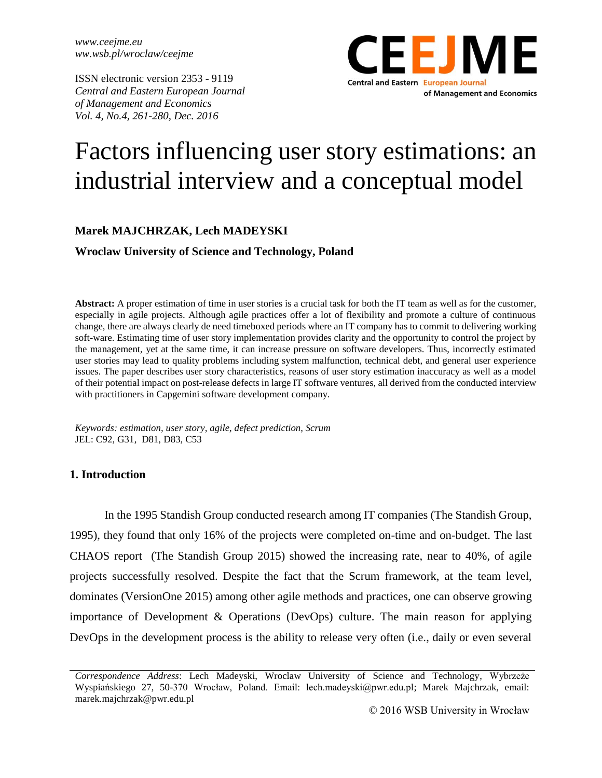*www.ceejme.eu ww.wsb.pl/wroclaw/ceejme* 

ISSN electronic version 2353 - 9119 *Central and Eastern European Journal of Management and Economics Vol. 4, No.4, 261-280, Dec. 2016*



# Factors influencing user story estimations: an industrial interview and a conceptual model

## **Marek MAJCHRZAK, Lech MADEYSKI**

**Wroclaw University of Science and Technology, Poland**

**Abstract:** A proper estimation of time in user stories is a crucial task for both the IT team as well as for the customer, especially in agile projects. Although agile practices offer a lot of flexibility and promote a culture of continuous change, there are always clearly de need timeboxed periods where an IT company has to commit to delivering working soft-ware. Estimating time of user story implementation provides clarity and the opportunity to control the project by the management, yet at the same time, it can increase pressure on software developers. Thus, incorrectly estimated user stories may lead to quality problems including system malfunction, technical debt, and general user experience issues. The paper describes user story characteristics, reasons of user story estimation inaccuracy as well as a model of their potential impact on post-release defects in large IT software ventures, all derived from the conducted interview with practitioners in Capgemini software development company.

*Keywords: estimation, user story, agile, defect prediction, Scrum* JEL: C92, G31, D81, D83, C53

## **1. Introduction**

In the 1995 Standish Group conducted research among IT companies (The Standish Group, 1995), they found that only 16% of the projects were completed on-time and on-budget. The last CHAOS report (The Standish Group 2015) showed the increasing rate, near to 40%, of agile projects successfully resolved. Despite the fact that the Scrum framework, at the team level, dominates (VersionOne 2015) among other agile methods and practices, one can observe growing importance of Development & Operations (DevOps) culture. The main reason for applying DevOps in the development process is the ability to release very often (i.e., daily or even several

*Correspondence Address*: Lech Madeyski, Wroclaw University of Science and Technology, Wybrzeże Wyspiańskiego 27, 50-370 Wrocław, Poland. Email: lech.madeyski@pwr.edu.pl; Marek Majchrzak, email: marek.majchrzak@pwr.edu.pl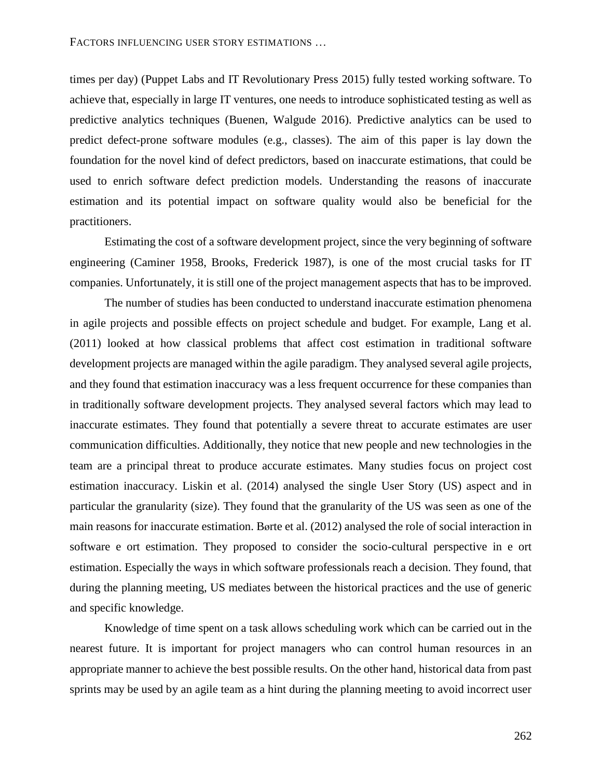times per day) (Puppet Labs and IT Revolutionary Press 2015) fully tested working software. To achieve that, especially in large IT ventures, one needs to introduce sophisticated testing as well as predictive analytics techniques (Buenen, Walgude 2016). Predictive analytics can be used to predict defect-prone software modules (e.g., classes). The aim of this paper is lay down the foundation for the novel kind of defect predictors, based on inaccurate estimations, that could be used to enrich software defect prediction models. Understanding the reasons of inaccurate estimation and its potential impact on software quality would also be beneficial for the practitioners.

Estimating the cost of a software development project, since the very beginning of software engineering (Caminer 1958, Brooks, Frederick 1987), is one of the most crucial tasks for IT companies. Unfortunately, it is still one of the project management aspects that has to be improved.

The number of studies has been conducted to understand inaccurate estimation phenomena in agile projects and possible effects on project schedule and budget. For example, Lang et al. (2011) looked at how classical problems that affect cost estimation in traditional software development projects are managed within the agile paradigm. They analysed several agile projects, and they found that estimation inaccuracy was a less frequent occurrence for these companies than in traditionally software development projects. They analysed several factors which may lead to inaccurate estimates. They found that potentially a severe threat to accurate estimates are user communication difficulties. Additionally, they notice that new people and new technologies in the team are a principal threat to produce accurate estimates. Many studies focus on project cost estimation inaccuracy. Liskin et al. (2014) analysed the single User Story (US) aspect and in particular the granularity (size). They found that the granularity of the US was seen as one of the main reasons for inaccurate estimation. Børte et al. (2012) analysed the role of social interaction in software e ort estimation. They proposed to consider the socio-cultural perspective in e ort estimation. Especially the ways in which software professionals reach a decision. They found, that during the planning meeting, US mediates between the historical practices and the use of generic and specific knowledge.

Knowledge of time spent on a task allows scheduling work which can be carried out in the nearest future. It is important for project managers who can control human resources in an appropriate manner to achieve the best possible results. On the other hand, historical data from past sprints may be used by an agile team as a hint during the planning meeting to avoid incorrect user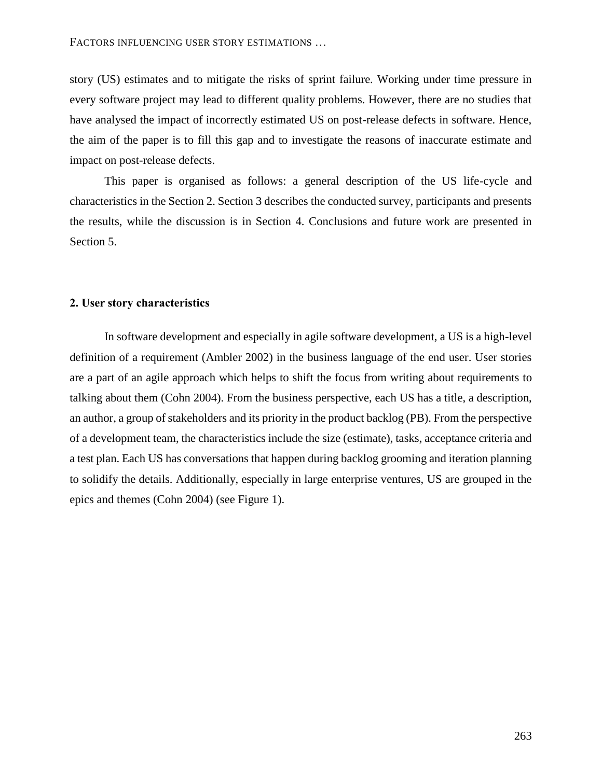story (US) estimates and to mitigate the risks of sprint failure. Working under time pressure in every software project may lead to different quality problems. However, there are no studies that have analysed the impact of incorrectly estimated US on post-release defects in software. Hence, the aim of the paper is to fill this gap and to investigate the reasons of inaccurate estimate and impact on post-release defects.

This paper is organised as follows: a general description of the US life-cycle and characteristics in the Section 2. Section 3 describes the conducted survey, participants and presents the results, while the discussion is in Section 4. Conclusions and future work are presented in Section 5.

#### **2. User story characteristics**

In software development and especially in agile software development, a US is a high-level definition of a requirement (Ambler 2002) in the business language of the end user. User stories are a part of an agile approach which helps to shift the focus from writing about requirements to talking about them (Cohn 2004). From the business perspective, each US has a title, a description, an author, a group of stakeholders and its priority in the product backlog (PB). From the perspective of a development team, the characteristics include the size (estimate), tasks, acceptance criteria and a test plan. Each US has conversations that happen during backlog grooming and iteration planning to solidify the details. Additionally, especially in large enterprise ventures, US are grouped in the epics and themes (Cohn 2004) (see [Figure 1\)](#page-3-0).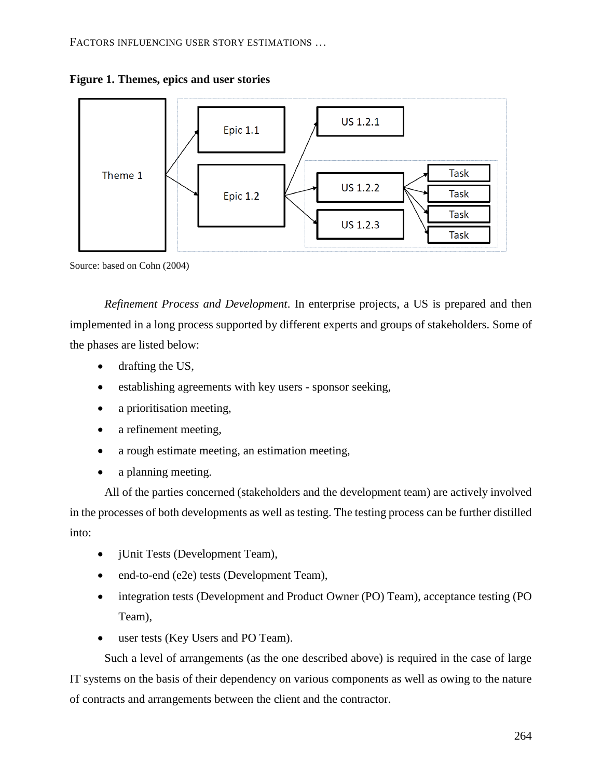FACTORS INFLUENCING USER STORY ESTIMATIONS …

<span id="page-3-0"></span>



Source: based on Cohn (2004)

*Refinement Process and Development*. In enterprise projects, a US is prepared and then implemented in a long process supported by different experts and groups of stakeholders. Some of the phases are listed below:

- drafting the US,
- establishing agreements with key users sponsor seeking,
- a prioritisation meeting,
- a refinement meeting,
- a rough estimate meeting, an estimation meeting,
- a planning meeting.

All of the parties concerned (stakeholders and the development team) are actively involved in the processes of both developments as well as testing. The testing process can be further distilled into:

- jUnit Tests (Development Team),
- end-to-end (e2e) tests (Development Team),
- integration tests (Development and Product Owner (PO) Team), acceptance testing (PO Team),
- user tests (Key Users and PO Team).

Such a level of arrangements (as the one described above) is required in the case of large IT systems on the basis of their dependency on various components as well as owing to the nature of contracts and arrangements between the client and the contractor.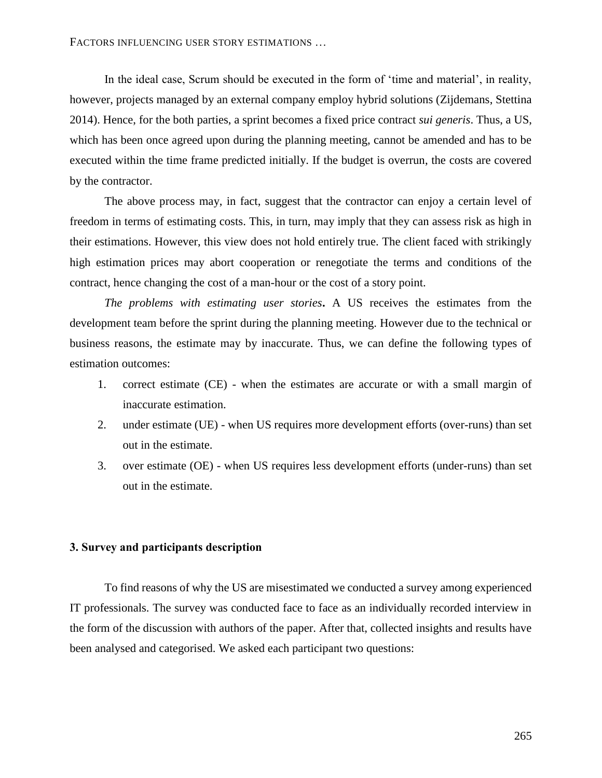In the ideal case, Scrum should be executed in the form of 'time and material', in reality, however, projects managed by an external company employ hybrid solutions (Zijdemans, Stettina 2014). Hence, for the both parties, a sprint becomes a fixed price contract *sui generis*. Thus, a US, which has been once agreed upon during the planning meeting, cannot be amended and has to be executed within the time frame predicted initially. If the budget is overrun, the costs are covered by the contractor.

The above process may, in fact, suggest that the contractor can enjoy a certain level of freedom in terms of estimating costs. This, in turn, may imply that they can assess risk as high in their estimations. However, this view does not hold entirely true. The client faced with strikingly high estimation prices may abort cooperation or renegotiate the terms and conditions of the contract, hence changing the cost of a man-hour or the cost of a story point.

*The problems with estimating user stories***.** A US receives the estimates from the development team before the sprint during the planning meeting. However due to the technical or business reasons, the estimate may by inaccurate. Thus, we can define the following types of estimation outcomes:

- 1. correct estimate (CE) when the estimates are accurate or with a small margin of inaccurate estimation.
- 2. under estimate (UE) when US requires more development efforts (over-runs) than set out in the estimate.
- 3. over estimate (OE) when US requires less development efforts (under-runs) than set out in the estimate.

## **3. Survey and participants description**

To find reasons of why the US are misestimated we conducted a survey among experienced IT professionals. The survey was conducted face to face as an individually recorded interview in the form of the discussion with authors of the paper. After that, collected insights and results have been analysed and categorised. We asked each participant two questions: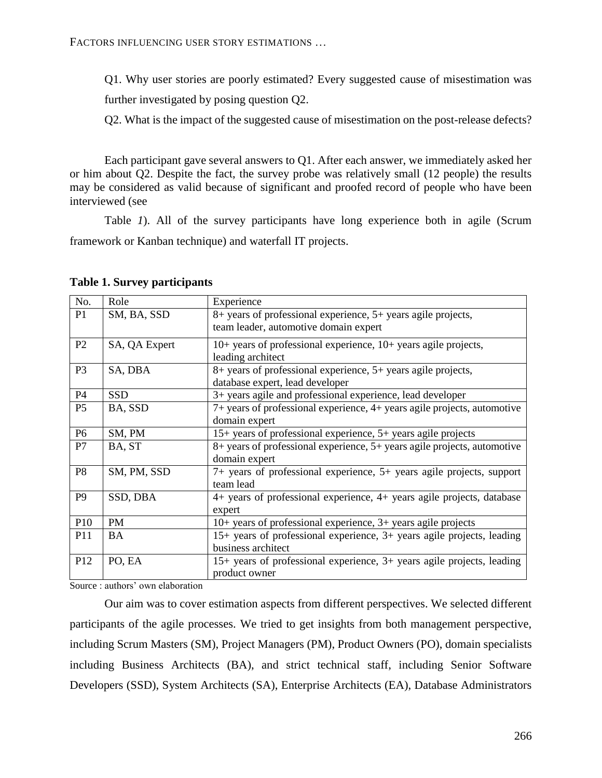Q1. Why user stories are poorly estimated? Every suggested cause of misestimation was further investigated by posing question Q2.

Q2. What is the impact of the suggested cause of misestimation on the post-release defects?

Each participant gave several answers to Q1. After each answer, we immediately asked her or him about Q2. Despite the fact, the survey probe was relatively small (12 people) the results may be considered as valid because of significant and proofed record of people who have been interviewed (see

[Table](#page-5-0) *1*). All of the survey participants have long experience both in agile (Scrum framework or Kanban technique) and waterfall IT projects.

| No.            | Role          | Experience                                                                              |  |  |  |  |  |  |  |  |
|----------------|---------------|-----------------------------------------------------------------------------------------|--|--|--|--|--|--|--|--|
| P <sub>1</sub> | SM, BA, SSD   | 8+ years of professional experience, 5+ years agile projects,                           |  |  |  |  |  |  |  |  |
|                |               | team leader, automotive domain expert                                                   |  |  |  |  |  |  |  |  |
| P <sub>2</sub> | SA, QA Expert | 10+ years of professional experience, 10+ years agile projects,                         |  |  |  |  |  |  |  |  |
|                |               | leading architect                                                                       |  |  |  |  |  |  |  |  |
| P <sub>3</sub> | SA, DBA       | 8+ years of professional experience, 5+ years agile projects,                           |  |  |  |  |  |  |  |  |
|                |               | database expert, lead developer                                                         |  |  |  |  |  |  |  |  |
| P4             | <b>SSD</b>    | 3+ years agile and professional experience, lead developer                              |  |  |  |  |  |  |  |  |
| P <sub>5</sub> | BA, SSD       | 7+ years of professional experience, 4+ years agile projects, automotive                |  |  |  |  |  |  |  |  |
|                |               | domain expert                                                                           |  |  |  |  |  |  |  |  |
| P <sub>6</sub> | SM, PM        | 15+ years of professional experience, 5+ years agile projects                           |  |  |  |  |  |  |  |  |
| P7             | BA, ST        | 8+ years of professional experience, 5+ years agile projects, automotive                |  |  |  |  |  |  |  |  |
|                |               | domain expert                                                                           |  |  |  |  |  |  |  |  |
| P <sub>8</sub> | SM, PM, SSD   | 7+ years of professional experience, 5+ years agile projects, support                   |  |  |  |  |  |  |  |  |
|                |               | team lead                                                                               |  |  |  |  |  |  |  |  |
| P <sub>9</sub> | SSD, DBA      | 4+ years of professional experience, 4+ years agile projects, database                  |  |  |  |  |  |  |  |  |
|                |               | expert                                                                                  |  |  |  |  |  |  |  |  |
| P10            | <b>PM</b>     | 10+ years of professional experience, 3+ years agile projects                           |  |  |  |  |  |  |  |  |
| P11            | BA            | 15+ years of professional experience, 3+ years agile projects, leading                  |  |  |  |  |  |  |  |  |
|                |               | business architect                                                                      |  |  |  |  |  |  |  |  |
| P12            | PO, EA        | 15+ years of professional experience, 3+ years agile projects, leading<br>product owner |  |  |  |  |  |  |  |  |

#### <span id="page-5-0"></span>**Table 1. Survey participants**

Source : authors' own elaboration

Our aim was to cover estimation aspects from different perspectives. We selected different participants of the agile processes. We tried to get insights from both management perspective, including Scrum Masters (SM), Project Managers (PM), Product Owners (PO), domain specialists including Business Architects (BA), and strict technical staff, including Senior Software Developers (SSD), System Architects (SA), Enterprise Architects (EA), Database Administrators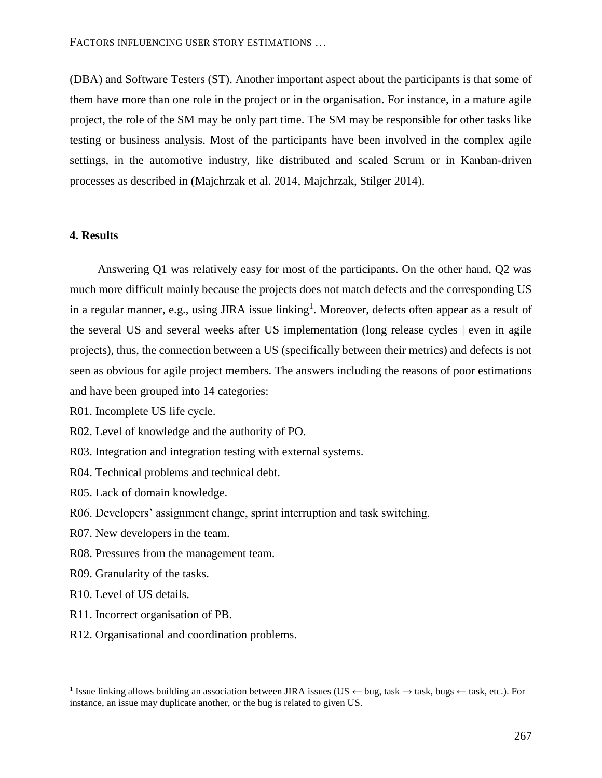(DBA) and Software Testers (ST). Another important aspect about the participants is that some of them have more than one role in the project or in the organisation. For instance, in a mature agile project, the role of the SM may be only part time. The SM may be responsible for other tasks like testing or business analysis. Most of the participants have been involved in the complex agile settings, in the automotive industry, like distributed and scaled Scrum or in Kanban-driven processes as described in (Majchrzak et al. 2014, Majchrzak, Stilger 2014).

## **4. Results**

Answering Q1 was relatively easy for most of the participants. On the other hand, Q2 was much more difficult mainly because the projects does not match defects and the corresponding US in a regular manner, e.g., using JIRA issue linking<sup>1</sup>. Moreover, defects often appear as a result of the several US and several weeks after US implementation (long release cycles | even in agile projects), thus, the connection between a US (specifically between their metrics) and defects is not seen as obvious for agile project members. The answers including the reasons of poor estimations and have been grouped into 14 categories:

R01. Incomplete US life cycle.

- R02. Level of knowledge and the authority of PO.
- R03. Integration and integration testing with external systems.
- R04. Technical problems and technical debt.
- R05. Lack of domain knowledge.
- R06. Developers' assignment change, sprint interruption and task switching.
- R07. New developers in the team.
- R08. Pressures from the management team.
- R09. Granularity of the tasks.
- R10. Level of US details.

 $\overline{a}$ 

- R11. Incorrect organisation of PB.
- R12. Organisational and coordination problems.

<sup>1</sup> Issue linking allows building an association between JIRA issues (US *←* bug, task *→* task, bugs *←* task, etc.). For instance, an issue may duplicate another, or the bug is related to given US.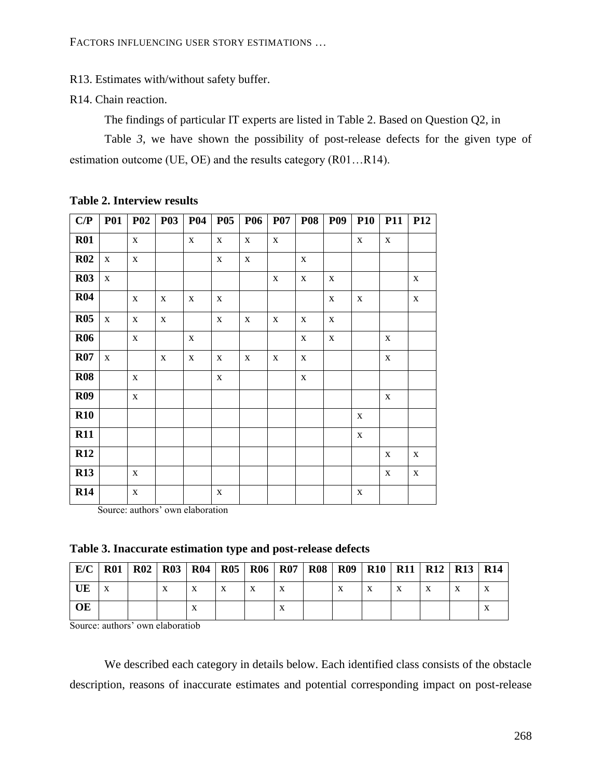R13. Estimates with/without safety buffer.

R14. Chain reaction.

The findings of particular IT experts are listed in [Table 2.](#page-7-0) Based on Question Q2, in

[Table](#page-7-1) 3, we have shown the possibility of post-release defects for the given type of estimation outcome (UE, OE) and the results category (R01…R14).

| C/P        | <b>P01</b>  | <b>P02</b>  | <b>P03</b>   | <b>P04</b>  | <b>P05</b>   | <b>P06</b>  | <b>P07</b>   | <b>P08</b>  | <b>P09</b>  | <b>P10</b>  | P11         | <b>P12</b>  |
|------------|-------------|-------------|--------------|-------------|--------------|-------------|--------------|-------------|-------------|-------------|-------------|-------------|
| <b>R01</b> |             | $\mathbf X$ |              | $\mathbf X$ | $\mathbf X$  | $\mathbf X$ | $\mathbf X$  |             |             | $\mathbf X$ | $\mathbf X$ |             |
| R02        | $\mathbf X$ | $\mathbf X$ |              |             | $\mathbf{X}$ | $\mathbf X$ |              | X           |             |             |             |             |
| <b>R03</b> | $\mathbf X$ |             |              |             |              |             | $\mathbf X$  | $\mathbf X$ | $\mathbf X$ |             |             | $\mathbf X$ |
| <b>R04</b> |             | $\mathbf X$ | $\mathbf X$  | $\mathbf X$ | $\mathbf{X}$ |             |              |             | $\mathbf X$ | $\mathbf X$ |             | $\mathbf X$ |
| <b>R05</b> | $\mathbf X$ | $\mathbf X$ | $\mathbf{X}$ |             | $\mathbf X$  | $\mathbf X$ | $\mathbf X$  | $\mathbf X$ | $\mathbf X$ |             |             |             |
| <b>R06</b> |             | $\mathbf X$ |              | $\mathbf X$ |              |             |              | $\mathbf X$ | $\mathbf X$ |             | $\mathbf X$ |             |
| R07        | $\mathbf X$ |             | $\mathbf X$  | $\mathbf X$ | $\mathbf X$  | $\mathbf X$ | $\mathbf{X}$ | $\mathbf X$ |             |             | $\mathbf X$ |             |
| <b>R08</b> |             | $\mathbf X$ |              |             | $\mathbf X$  |             |              | $\mathbf X$ |             |             |             |             |
| <b>R09</b> |             | $\mathbf X$ |              |             |              |             |              |             |             |             | $\mathbf X$ |             |
| <b>R10</b> |             |             |              |             |              |             |              |             |             | $\mathbf X$ |             |             |
| <b>R11</b> |             |             |              |             |              |             |              |             |             | $\mathbf X$ |             |             |
| R12        |             |             |              |             |              |             |              |             |             |             | $\mathbf X$ | $\mathbf X$ |
| <b>R13</b> |             | $\mathbf X$ |              |             |              |             |              |             |             |             | $\mathbf X$ | $\mathbf X$ |
| <b>R14</b> |             | $\mathbf X$ |              |             | $\mathbf X$  |             |              |             |             | $\mathbf X$ |             |             |

# <span id="page-7-0"></span>**Table 2. Interview results**

Source: authors' own elaboration

<span id="page-7-1"></span>

|  |  | Table 3. Inaccurate estimation type and post-release defects |  |  |  |
|--|--|--------------------------------------------------------------|--|--|--|
|  |  |                                                              |  |  |  |

| E/C | <b>R01</b> | R02 |           |   |   | R03   R04   R05   R06   R07 | <b>R08</b> | R09       |   |              | R <sub>10</sub>   R <sub>11</sub>   R <sub>12</sub>   R <sub>13</sub>   R <sub>14</sub> |   |  |
|-----|------------|-----|-----------|---|---|-----------------------------|------------|-----------|---|--------------|-----------------------------------------------------------------------------------------|---|--|
| UE  |            |     | $\Lambda$ | X | X | v                           |            | $\Lambda$ | X | $\mathbf{X}$ |                                                                                         | X |  |
| OЕ  |            |     |           |   |   |                             |            |           |   |              |                                                                                         |   |  |

Source: authors' own elaboratiob

We described each category in details below. Each identified class consists of the obstacle description, reasons of inaccurate estimates and potential corresponding impact on post-release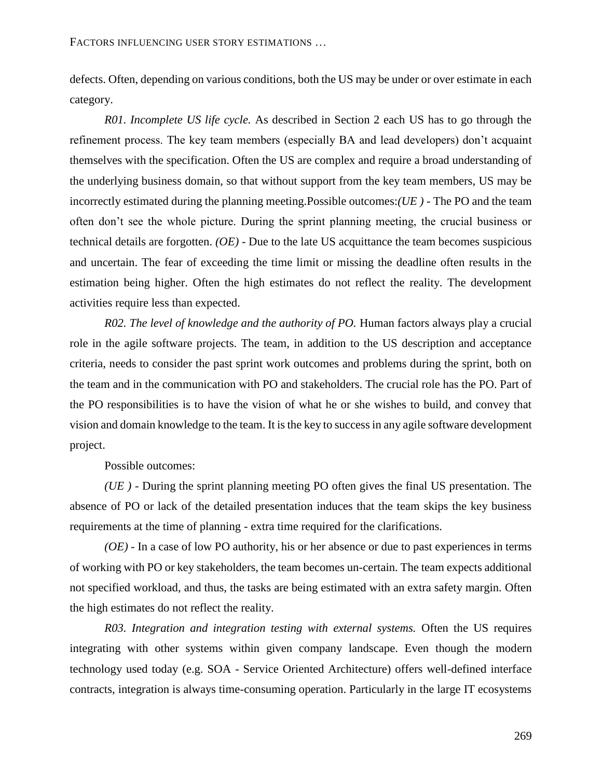defects. Often, depending on various conditions, both the US may be under or over estimate in each category.

*R01. Incomplete US life cycle.* As described in Section 2 each US has to go through the refinement process. The key team members (especially BA and lead developers) don't acquaint themselves with the specification. Often the US are complex and require a broad understanding of the underlying business domain, so that without support from the key team members, US may be incorrectly estimated during the planning meeting.Possible outcomes:*(UE )* - The PO and the team often don't see the whole picture. During the sprint planning meeting, the crucial business or technical details are forgotten. *(OE)* - Due to the late US acquittance the team becomes suspicious and uncertain. The fear of exceeding the time limit or missing the deadline often results in the estimation being higher. Often the high estimates do not reflect the reality. The development activities require less than expected.

*R02. The level of knowledge and the authority of PO.* Human factors always play a crucial role in the agile software projects. The team, in addition to the US description and acceptance criteria, needs to consider the past sprint work outcomes and problems during the sprint, both on the team and in the communication with PO and stakeholders. The crucial role has the PO. Part of the PO responsibilities is to have the vision of what he or she wishes to build, and convey that vision and domain knowledge to the team. It is the key to success in any agile software development project.

Possible outcomes:

*(UE )* - During the sprint planning meeting PO often gives the final US presentation. The absence of PO or lack of the detailed presentation induces that the team skips the key business requirements at the time of planning - extra time required for the clarifications.

*(OE)* - In a case of low PO authority, his or her absence or due to past experiences in terms of working with PO or key stakeholders, the team becomes un-certain. The team expects additional not specified workload, and thus, the tasks are being estimated with an extra safety margin. Often the high estimates do not reflect the reality.

*R03. Integration and integration testing with external systems.* Often the US requires integrating with other systems within given company landscape. Even though the modern technology used today (e.g. SOA - Service Oriented Architecture) offers well-defined interface contracts, integration is always time-consuming operation. Particularly in the large IT ecosystems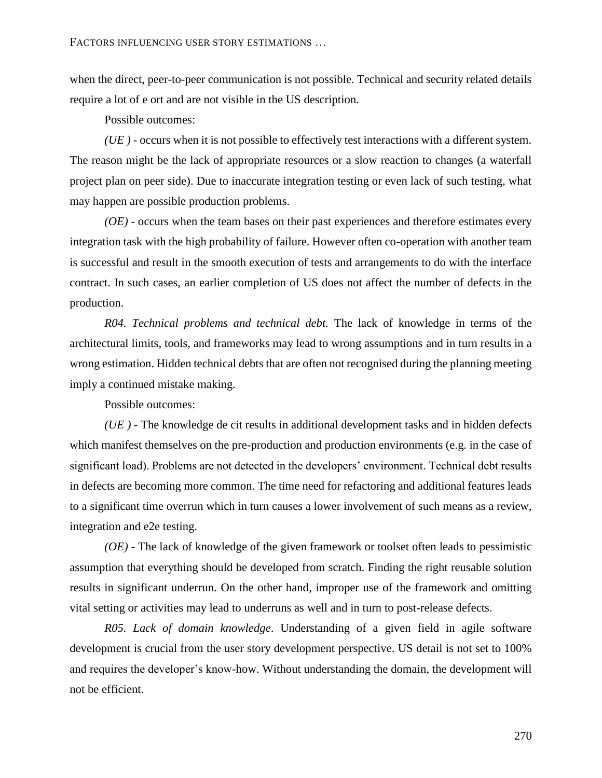when the direct, peer-to-peer communication is not possible. Technical and security related details require a lot of e ort and are not visible in the US description.

Possible outcomes:

*(UE )* - occurs when it is not possible to effectively test interactions with a different system. The reason might be the lack of appropriate resources or a slow reaction to changes (a waterfall project plan on peer side). Due to inaccurate integration testing or even lack of such testing, what may happen are possible production problems.

*(OE)* - occurs when the team bases on their past experiences and therefore estimates every integration task with the high probability of failure. However often co-operation with another team is successful and result in the smooth execution of tests and arrangements to do with the interface contract. In such cases, an earlier completion of US does not affect the number of defects in the production.

*R04. Technical problems and technical debt.* The lack of knowledge in terms of the architectural limits, tools, and frameworks may lead to wrong assumptions and in turn results in a wrong estimation. Hidden technical debts that are often not recognised during the planning meeting imply a continued mistake making.

Possible outcomes:

*(UE )* - The knowledge de cit results in additional development tasks and in hidden defects which manifest themselves on the pre-production and production environments (e.g. in the case of significant load). Problems are not detected in the developers' environment. Technical debt results in defects are becoming more common. The time need for refactoring and additional features leads to a significant time overrun which in turn causes a lower involvement of such means as a review, integration and e2e testing.

*(OE)* - The lack of knowledge of the given framework or toolset often leads to pessimistic assumption that everything should be developed from scratch. Finding the right reusable solution results in significant underrun. On the other hand, improper use of the framework and omitting vital setting or activities may lead to underruns as well and in turn to post-release defects.

*R05. Lack of domain knowledge*. Understanding of a given field in agile software development is crucial from the user story development perspective. US detail is not set to 100% and requires the developer's know-how. Without understanding the domain, the development will not be efficient.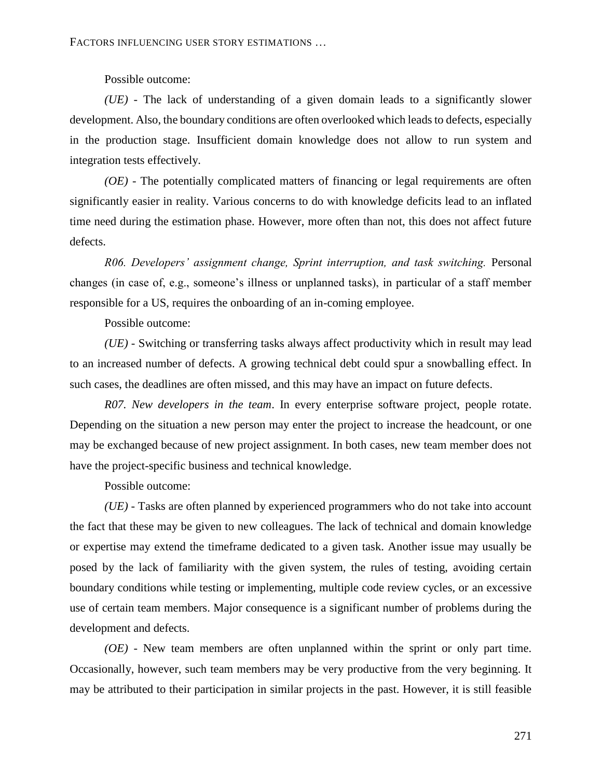Possible outcome:

*(UE)* - The lack of understanding of a given domain leads to a significantly slower development. Also, the boundary conditions are often overlooked which leads to defects, especially in the production stage. Insufficient domain knowledge does not allow to run system and integration tests effectively.

*(OE)* - The potentially complicated matters of financing or legal requirements are often significantly easier in reality. Various concerns to do with knowledge deficits lead to an inflated time need during the estimation phase. However, more often than not, this does not affect future defects.

*R06. Developers' assignment change, Sprint interruption, and task switching.* Personal changes (in case of, e.g., someone's illness or unplanned tasks), in particular of a staff member responsible for a US, requires the onboarding of an in-coming employee.

Possible outcome:

*(UE)* - Switching or transferring tasks always affect productivity which in result may lead to an increased number of defects. A growing technical debt could spur a snowballing effect. In such cases, the deadlines are often missed, and this may have an impact on future defects.

*R07. New developers in the team*. In every enterprise software project, people rotate. Depending on the situation a new person may enter the project to increase the headcount, or one may be exchanged because of new project assignment. In both cases, new team member does not have the project-specific business and technical knowledge.

Possible outcome:

*(UE)* - Tasks are often planned by experienced programmers who do not take into account the fact that these may be given to new colleagues. The lack of technical and domain knowledge or expertise may extend the timeframe dedicated to a given task. Another issue may usually be posed by the lack of familiarity with the given system, the rules of testing, avoiding certain boundary conditions while testing or implementing, multiple code review cycles, or an excessive use of certain team members. Major consequence is a significant number of problems during the development and defects.

*(OE)* - New team members are often unplanned within the sprint or only part time. Occasionally, however, such team members may be very productive from the very beginning. It may be attributed to their participation in similar projects in the past. However, it is still feasible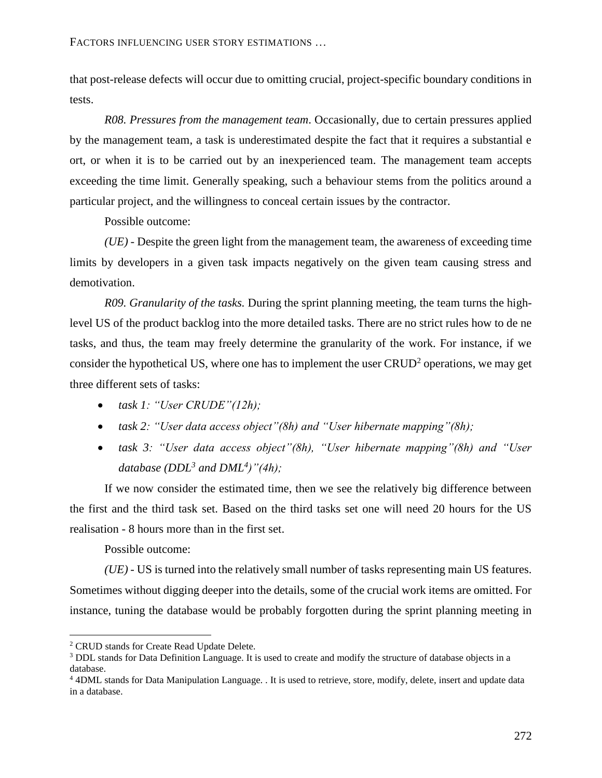that post-release defects will occur due to omitting crucial, project-specific boundary conditions in tests.

*R08. Pressures from the management team*. Occasionally, due to certain pressures applied by the management team, a task is underestimated despite the fact that it requires a substantial e ort, or when it is to be carried out by an inexperienced team. The management team accepts exceeding the time limit. Generally speaking, such a behaviour stems from the politics around a particular project, and the willingness to conceal certain issues by the contractor.

Possible outcome:

*(UE)* - Despite the green light from the management team, the awareness of exceeding time limits by developers in a given task impacts negatively on the given team causing stress and demotivation.

*R09. Granularity of the tasks.* During the sprint planning meeting, the team turns the highlevel US of the product backlog into the more detailed tasks. There are no strict rules how to de ne tasks, and thus, the team may freely determine the granularity of the work. For instance, if we consider the hypothetical US, where one has to implement the user  $CRUD<sup>2</sup>$  operations, we may get three different sets of tasks:

- *task 1: "User CRUDE"(12h);*
- *task 2: "User data access object"(8h) and "User hibernate mapping"(8h);*
- *task 3: "User data access object"(8h), "User hibernate mapping"(8h) and "User database (DDL<sup>3</sup> and DML<sup>4</sup> )"(4h);*

If we now consider the estimated time, then we see the relatively big difference between the first and the third task set. Based on the third tasks set one will need 20 hours for the US realisation - 8 hours more than in the first set.

Possible outcome:

*(UE)* - US is turned into the relatively small number of tasks representing main US features. Sometimes without digging deeper into the details, some of the crucial work items are omitted. For instance, tuning the database would be probably forgotten during the sprint planning meeting in

 $\overline{a}$ 

<sup>2</sup> CRUD stands for Create Read Update Delete.

<sup>&</sup>lt;sup>3</sup> DDL stands for Data Definition Language. It is used to create and modify the structure of database objects in a database.

<sup>4</sup> 4DML stands for Data Manipulation Language. . It is used to retrieve, store, modify, delete, insert and update data in a database.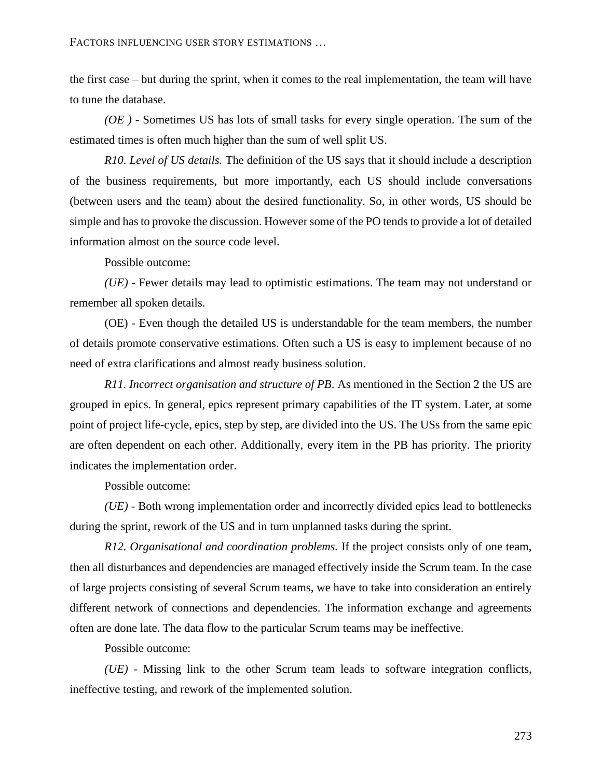## FACTORS INFLUENCING USER STORY ESTIMATIONS …

the first case – but during the sprint, when it comes to the real implementation, the team will have to tune the database.

*(OE )* - Sometimes US has lots of small tasks for every single operation. The sum of the estimated times is often much higher than the sum of well split US.

*R10. Level of US details.* The definition of the US says that it should include a description of the business requirements, but more importantly, each US should include conversations (between users and the team) about the desired functionality. So, in other words, US should be simple and has to provoke the discussion. However some of the PO tends to provide a lot of detailed information almost on the source code level.

Possible outcome:

*(UE)* - Fewer details may lead to optimistic estimations. The team may not understand or remember all spoken details.

(OE) - Even though the detailed US is understandable for the team members, the number of details promote conservative estimations. Often such a US is easy to implement because of no need of extra clarifications and almost ready business solution.

*R11. Incorrect organisation and structure of PB*. As mentioned in the Section 2 the US are grouped in epics. In general, epics represent primary capabilities of the IT system. Later, at some point of project life-cycle, epics, step by step, are divided into the US. The USs from the same epic are often dependent on each other. Additionally, every item in the PB has priority. The priority indicates the implementation order.

Possible outcome:

*(UE)* - Both wrong implementation order and incorrectly divided epics lead to bottlenecks during the sprint, rework of the US and in turn unplanned tasks during the sprint.

*R12. Organisational and coordination problems.* If the project consists only of one team, then all disturbances and dependencies are managed effectively inside the Scrum team. In the case of large projects consisting of several Scrum teams, we have to take into consideration an entirely different network of connections and dependencies. The information exchange and agreements often are done late. The data flow to the particular Scrum teams may be ineffective.

Possible outcome:

*(UE)* - Missing link to the other Scrum team leads to software integration conflicts, ineffective testing, and rework of the implemented solution.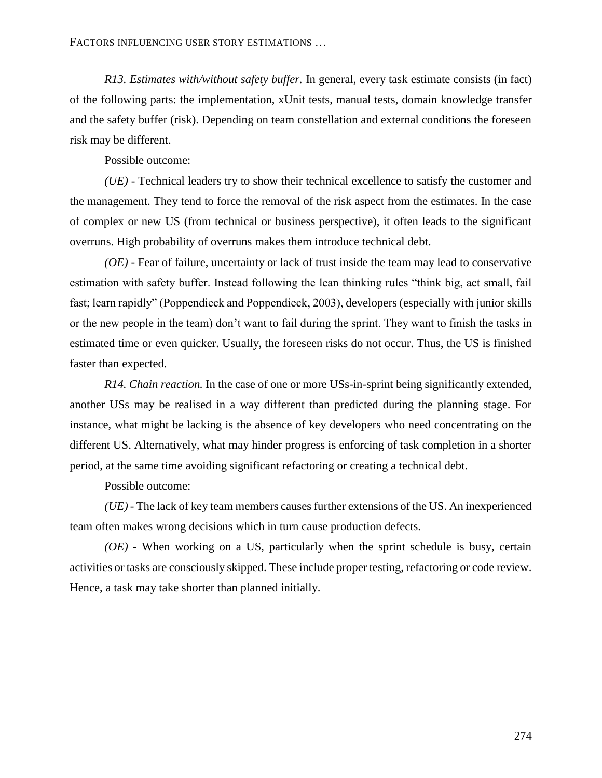*R13. Estimates with/without safety buffer.* In general, every task estimate consists (in fact) of the following parts: the implementation, xUnit tests, manual tests, domain knowledge transfer and the safety buffer (risk). Depending on team constellation and external conditions the foreseen risk may be different.

Possible outcome:

*(UE)* - Technical leaders try to show their technical excellence to satisfy the customer and the management. They tend to force the removal of the risk aspect from the estimates. In the case of complex or new US (from technical or business perspective), it often leads to the significant overruns. High probability of overruns makes them introduce technical debt.

*(OE)* - Fear of failure, uncertainty or lack of trust inside the team may lead to conservative estimation with safety buffer. Instead following the lean thinking rules "think big, act small, fail fast; learn rapidly" (Poppendieck and Poppendieck, 2003), developers (especially with junior skills or the new people in the team) don't want to fail during the sprint. They want to finish the tasks in estimated time or even quicker. Usually, the foreseen risks do not occur. Thus, the US is finished faster than expected.

*R14. Chain reaction.* In the case of one or more USs-in-sprint being significantly extended, another USs may be realised in a way different than predicted during the planning stage. For instance, what might be lacking is the absence of key developers who need concentrating on the different US. Alternatively, what may hinder progress is enforcing of task completion in a shorter period, at the same time avoiding significant refactoring or creating a technical debt.

Possible outcome:

*(UE)* - The lack of key team members causes further extensions of the US. An inexperienced team often makes wrong decisions which in turn cause production defects.

*(OE)* - When working on a US, particularly when the sprint schedule is busy, certain activities or tasks are consciously skipped. These include proper testing, refactoring or code review. Hence, a task may take shorter than planned initially.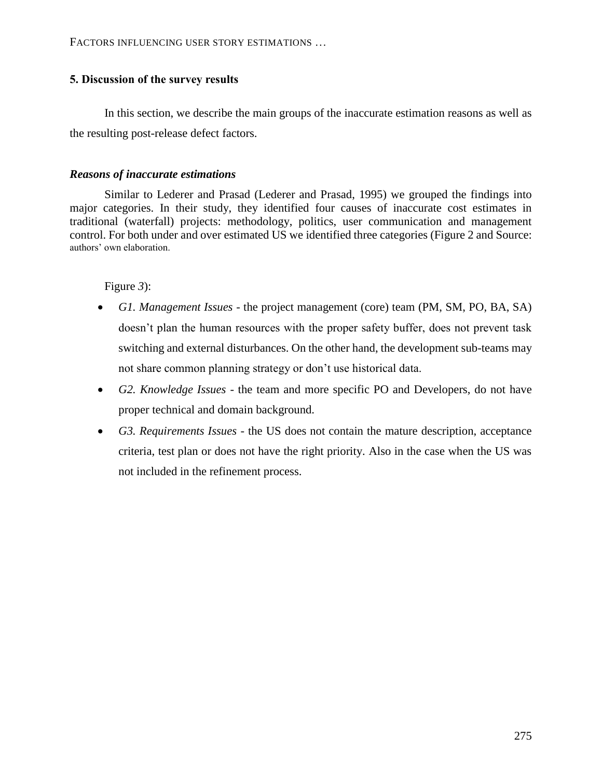# **5. Discussion of the survey results**

In this section, we describe the main groups of the inaccurate estimation reasons as well as the resulting post-release defect factors.

# *Reasons of inaccurate estimations*

Similar to Lederer and Prasad (Lederer and Prasad, 1995) we grouped the findings into major categories. In their study, they identified four causes of inaccurate cost estimates in traditional (waterfall) projects: methodology, politics, user communication and management control. For both under and over estimated US we identified three categories [\(Figure 2](#page-15-0) and [Source:](#page-15-1)  [authors' own elaboration.](#page-15-1)

[Figure](#page-15-1) *3*):

- *G1. Management Issues* the project management (core) team (PM, SM, PO, BA, SA) doesn't plan the human resources with the proper safety buffer, does not prevent task switching and external disturbances. On the other hand, the development sub-teams may not share common planning strategy or don't use historical data.
- *G2. Knowledge Issues* the team and more specific PO and Developers, do not have proper technical and domain background.
- *G3. Requirements Issues* the US does not contain the mature description, acceptance criteria, test plan or does not have the right priority. Also in the case when the US was not included in the refinement process.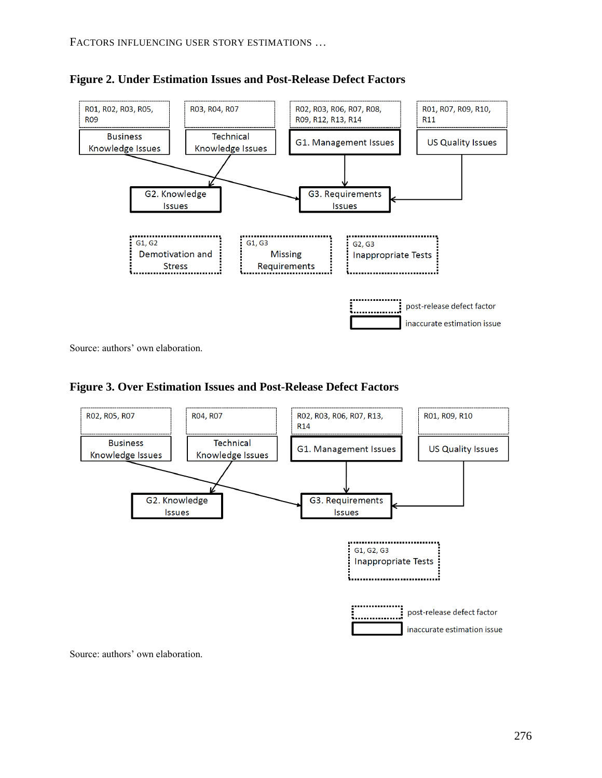

<span id="page-15-0"></span>**Figure 2. Under Estimation Issues and Post-Release Defect Factors**

<span id="page-15-1"></span>Source: authors' own elaboration.





Source: authors' own elaboration.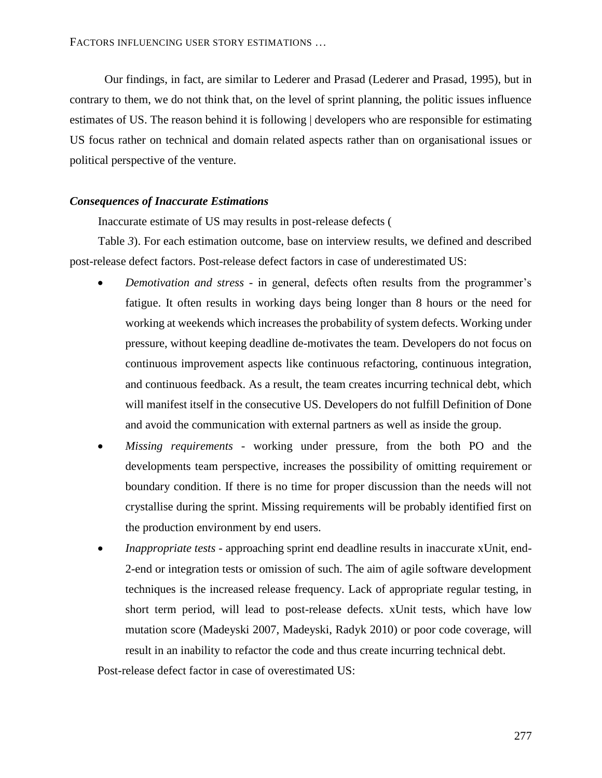Our findings, in fact, are similar to Lederer and Prasad (Lederer and Prasad, 1995), but in contrary to them, we do not think that, on the level of sprint planning, the politic issues influence estimates of US. The reason behind it is following | developers who are responsible for estimating US focus rather on technical and domain related aspects rather than on organisational issues or political perspective of the venture.

## *Consequences of Inaccurate Estimations*

Inaccurate estimate of US may results in post-release defects [\(](#page-7-1)

[Table](#page-7-1) *3*). For each estimation outcome, base on interview results, we defined and described post-release defect factors. Post-release defect factors in case of underestimated US:

- *Demotivation and stress* in general, defects often results from the programmer's fatigue. It often results in working days being longer than 8 hours or the need for working at weekends which increases the probability of system defects. Working under pressure, without keeping deadline de-motivates the team. Developers do not focus on continuous improvement aspects like continuous refactoring, continuous integration, and continuous feedback. As a result, the team creates incurring technical debt, which will manifest itself in the consecutive US. Developers do not fulfill Definition of Done and avoid the communication with external partners as well as inside the group.
- *Missing requirements* working under pressure, from the both PO and the developments team perspective, increases the possibility of omitting requirement or boundary condition. If there is no time for proper discussion than the needs will not crystallise during the sprint. Missing requirements will be probably identified first on the production environment by end users.
- *Inappropriate tests* approaching sprint end deadline results in inaccurate xUnit, end-2-end or integration tests or omission of such. The aim of agile software development techniques is the increased release frequency. Lack of appropriate regular testing, in short term period, will lead to post-release defects. xUnit tests, which have low mutation score (Madeyski 2007, Madeyski, Radyk 2010) or poor code coverage, will result in an inability to refactor the code and thus create incurring technical debt.

Post-release defect factor in case of overestimated US: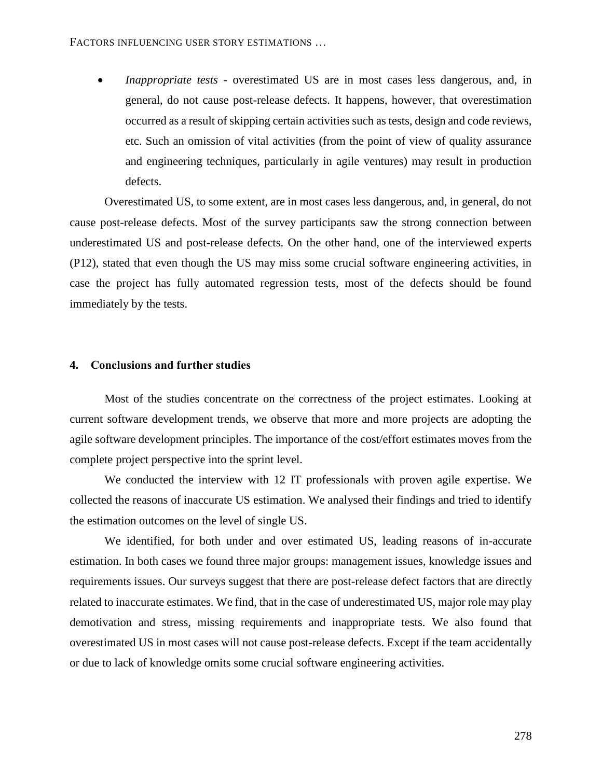*Inappropriate tests* - overestimated US are in most cases less dangerous, and, in general, do not cause post-release defects. It happens, however, that overestimation occurred as a result of skipping certain activities such as tests, design and code reviews, etc. Such an omission of vital activities (from the point of view of quality assurance and engineering techniques, particularly in agile ventures) may result in production defects.

Overestimated US, to some extent, are in most cases less dangerous, and, in general, do not cause post-release defects. Most of the survey participants saw the strong connection between underestimated US and post-release defects. On the other hand, one of the interviewed experts (P12), stated that even though the US may miss some crucial software engineering activities, in case the project has fully automated regression tests, most of the defects should be found immediately by the tests.

#### **4. Conclusions and further studies**

Most of the studies concentrate on the correctness of the project estimates. Looking at current software development trends, we observe that more and more projects are adopting the agile software development principles. The importance of the cost/effort estimates moves from the complete project perspective into the sprint level.

We conducted the interview with 12 IT professionals with proven agile expertise. We collected the reasons of inaccurate US estimation. We analysed their findings and tried to identify the estimation outcomes on the level of single US.

We identified, for both under and over estimated US, leading reasons of in-accurate estimation. In both cases we found three major groups: management issues, knowledge issues and requirements issues. Our surveys suggest that there are post-release defect factors that are directly related to inaccurate estimates. We find, that in the case of underestimated US, major role may play demotivation and stress, missing requirements and inappropriate tests. We also found that overestimated US in most cases will not cause post-release defects. Except if the team accidentally or due to lack of knowledge omits some crucial software engineering activities.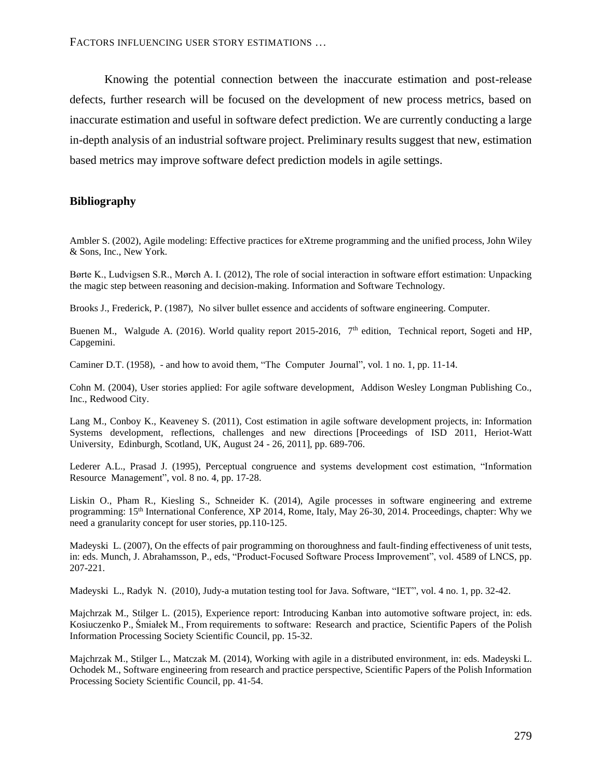FACTORS INFLUENCING USER STORY ESTIMATIONS …

Knowing the potential connection between the inaccurate estimation and post-release defects, further research will be focused on the development of new process metrics, based on inaccurate estimation and useful in software defect prediction. We are currently conducting a large in-depth analysis of an industrial software project. Preliminary results suggest that new, estimation based metrics may improve software defect prediction models in agile settings.

## **Bibliography**

Ambler S. (2002), Agile modeling: Effective practices for eXtreme programming and the unified process, John Wiley & Sons, Inc., New York.

Børte K., Ludvigsen S.R., Mørch A. I. (2012), The role of social interaction in software effort estimation: Unpacking the magic step between reasoning and decision-making. Information and Software Technology.

Brooks J., Frederick, P. (1987), No silver bullet essence and accidents of software engineering. Computer.

Buenen M., Walgude A. (2016). World quality report 2015-2016, 7<sup>th</sup> edition, Technical report, Sogeti and HP, Capgemini.

Caminer D.T. (1958), - and how to avoid them, "The Computer Journal", vol. 1 no. 1, pp. 11-14.

Cohn M. (2004), User stories applied: For agile software development, Addison Wesley Longman Publishing Co., Inc., Redwood City.

Lang M., Conboy K., Keaveney S. (2011), Cost estimation in agile software development projects, in: Information Systems development, reflections, challenges and new directions [Proceedings of ISD 2011, Heriot-Watt University, Edinburgh, Scotland, UK, August 24 - 26, 2011], pp. 689-706.

Lederer A.L., Prasad J. (1995), Perceptual congruence and systems development cost estimation, "Information Resource Management", vol. 8 no. 4, pp. 17-28.

Liskin O., Pham R., Kiesling S., Schneider K. (2014), Agile processes in software engineering and extreme programming: 15th International Conference, XP 2014, Rome, Italy, May 26-30, 2014. Proceedings, chapter: Why we need a granularity concept for user stories, pp.110-125.

Madeyski L. (2007), On the effects of pair programming on thoroughness and fault-finding effectiveness of unit tests, in: eds. Munch, J. Abrahamsson, P., eds, "Product-Focused Software Process Improvement", vol. 4589 of LNCS, pp. 207-221.

Madeyski L., Radyk N. (2010), Judy-a mutation testing tool for Java. Software, "IET", vol. 4 no. 1, pp. 32-42.

Majchrzak M., Stilger L. (2015), Experience report: Introducing Kanban into automotive software project, in: eds. Kosiuczenko P., Śmiałek M., From requirements to software: Research and practice, Scientific Papers of the Polish Information Processing Society Scientific Council, pp. 15-32.

Majchrzak M., Stilger L., Matczak M. (2014), Working with agile in a distributed environment, in: eds. Madeyski L. Ochodek M., Software engineering from research and practice perspective, Scientific Papers of the Polish Information Processing Society Scientific Council, pp. 41-54.